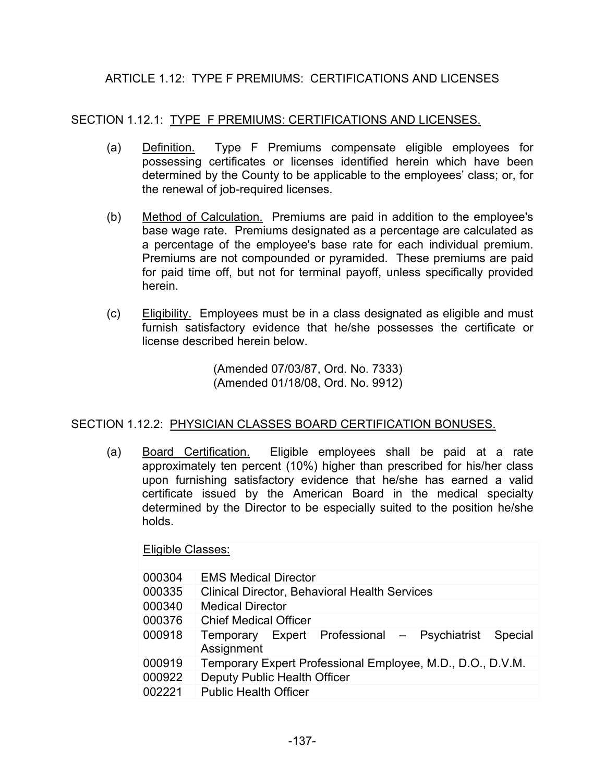# ARTICLE 1.12: TYPE F PREMIUMS: CERTIFICATIONS AND LICENSES

### SECTION 1.12.1: TYPE F PREMIUMS: CERTIFICATIONS AND LICENSES.

- (a) Definition. Type F Premiums compensate eligible employees for possessing certificates or licenses identified herein which have been determined by the County to be applicable to the employees' class; or, for the renewal of job-required licenses.
- (b) Method of Calculation. Premiums are paid in addition to the employee's base wage rate. Premiums designated as a percentage are calculated as a percentage of the employee's base rate for each individual premium. Premiums are not compounded or pyramided. These premiums are paid for paid time off, but not for terminal payoff, unless specifically provided herein.
- (c) Eligibility. Employees must be in a class designated as eligible and must furnish satisfactory evidence that he/she possesses the certificate or license described herein below.

(Amended 07/03/87, Ord. No. 7333) (Amended 01/18/08, Ord. No. 9912)

#### SECTION 1.12.2: PHYSICIAN CLASSES BOARD CERTIFICATION BONUSES.

 (a) Board Certification. Eligible employees shall be paid at a rate approximately ten percent (10%) higher than prescribed for his/her class upon furnishing satisfactory evidence that he/she has earned a valid certificate issued by the American Board in the medical specialty determined by the Director to be especially suited to the position he/she holds.

Eligible Classes:

| 000304 | <b>EMS Medical Director</b>                                        |
|--------|--------------------------------------------------------------------|
| 000335 | <b>Clinical Director, Behavioral Health Services</b>               |
| 000340 | <b>Medical Director</b>                                            |
| 000376 | <b>Chief Medical Officer</b>                                       |
| 000918 | Temporary Expert Professional - Psychiatrist Special<br>Assignment |
| 000919 | Temporary Expert Professional Employee, M.D., D.O., D.V.M.         |
| 000922 | Deputy Public Health Officer                                       |
| 002221 | <b>Public Health Officer</b>                                       |
|        |                                                                    |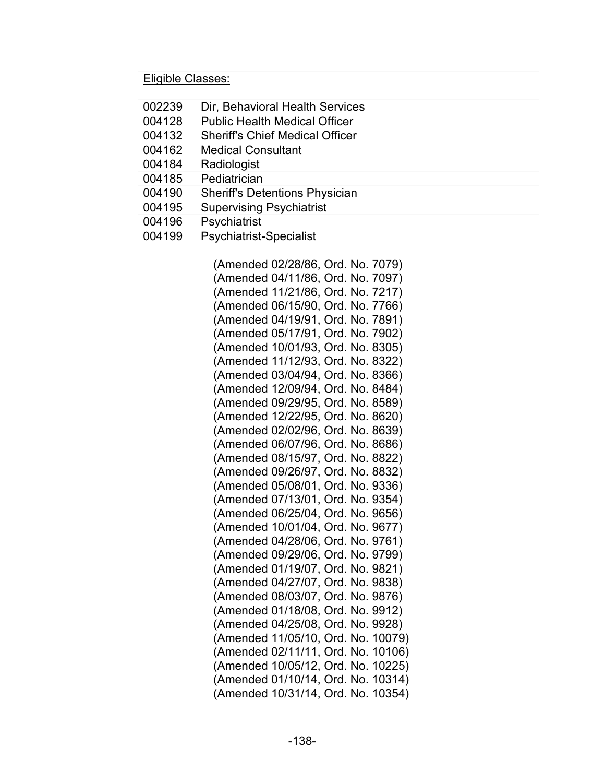#### Eligible Classes:

| 002239 | Dir, Behavioral Health Services        |
|--------|----------------------------------------|
| 004128 | <b>Public Health Medical Officer</b>   |
| 004132 | <b>Sheriff's Chief Medical Officer</b> |
| 004162 | <b>Medical Consultant</b>              |
| 004184 | Radiologist                            |
| 004185 | Pediatrician                           |
| 004190 | <b>Sheriff's Detentions Physician</b>  |
| 004195 | <b>Supervising Psychiatrist</b>        |
| 004196 | Psychiatrist                           |
| 004199 | <b>Psychiatrist-Specialist</b>         |

(Amended 02/28/86, Ord. No. 7079) (Amended 04/11/86, Ord. No. 7097) (Amended 11/21/86, Ord. No. 7217) (Amended 06/15/90, Ord. No. 7766) (Amended 04/19/91, Ord. No. 7891) (Amended 05/17/91, Ord. No. 7902) (Amended 10/01/93, Ord. No. 8305) (Amended 11/12/93, Ord. No. 8322) (Amended 03/04/94, Ord. No. 8366) (Amended 12/09/94, Ord. No. 8484) (Amended 09/29/95, Ord. No. 8589) (Amended 12/22/95, Ord. No. 8620) (Amended 02/02/96, Ord. No. 8639) (Amended 06/07/96, Ord. No. 8686) (Amended 08/15/97, Ord. No. 8822) (Amended 09/26/97, Ord. No. 8832) (Amended 05/08/01, Ord. No. 9336) (Amended 07/13/01, Ord. No. 9354) (Amended 06/25/04, Ord. No. 9656) (Amended 10/01/04, Ord. No. 9677) (Amended 04/28/06, Ord. No. 9761) (Amended 09/29/06, Ord. No. 9799) (Amended 01/19/07, Ord. No. 9821) (Amended 04/27/07, Ord. No. 9838) (Amended 08/03/07, Ord. No. 9876) (Amended 01/18/08, Ord. No. 9912) (Amended 04/25/08, Ord. No. 9928) (Amended 11/05/10, Ord. No. 10079) (Amended 02/11/11, Ord. No. 10106) (Amended 10/05/12, Ord. No. 10225) (Amended 01/10/14, Ord. No. 10314) (Amended 10/31/14, Ord. No. 10354)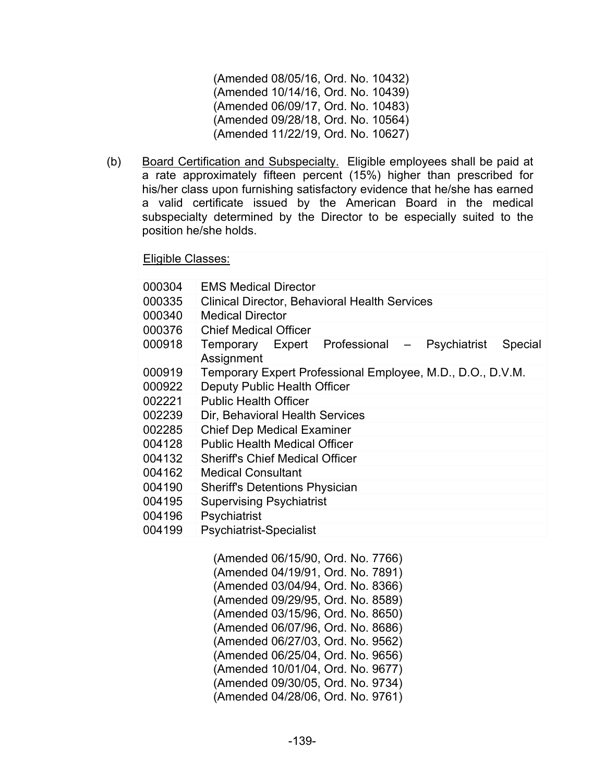(Amended 08/05/16, Ord. No. 10432) (Amended 10/14/16, Ord. No. 10439) (Amended 06/09/17, Ord. No. 10483) (Amended 09/28/18, Ord. No. 10564) (Amended 11/22/19, Ord. No. 10627)

(b) Board Certification and Subspecialty. Eligible employees shall be paid at a rate approximately fifteen percent (15%) higher than prescribed for his/her class upon furnishing satisfactory evidence that he/she has earned a valid certificate issued by the American Board in the medical subspecialty determined by the Director to be especially suited to the position he/she holds.

Eligible Classes:

| 000304 | <b>EMS Medical Director</b>                                            |
|--------|------------------------------------------------------------------------|
| 000335 | <b>Clinical Director, Behavioral Health Services</b>                   |
| 000340 | Medical Director                                                       |
| 000376 | <b>Chief Medical Officer</b>                                           |
| 000918 | Temporary Expert Professional<br>Psychiatrist<br>Special<br>Assignment |
| 000919 | Temporary Expert Professional Employee, M.D., D.O., D.V.M.             |
| 000922 | Deputy Public Health Officer                                           |
| 002221 | <b>Public Health Officer</b>                                           |
| 002239 | Dir, Behavioral Health Services                                        |
| 002285 | <b>Chief Dep Medical Examiner</b>                                      |
| 004128 | <b>Public Health Medical Officer</b>                                   |
| 004132 | <b>Sheriff's Chief Medical Officer</b>                                 |
| 004162 | <b>Medical Consultant</b>                                              |
| 004190 | <b>Sheriff's Detentions Physician</b>                                  |
| 004195 | <b>Supervising Psychiatrist</b>                                        |
| 004196 | Psychiatrist                                                           |
| 004199 | <b>Psychiatrist-Specialist</b>                                         |

(Amended 06/15/90, Ord. No. 7766) (Amended 04/19/91, Ord. No. 7891) (Amended 03/04/94, Ord. No. 8366) (Amended 09/29/95, Ord. No. 8589) (Amended 03/15/96, Ord. No. 8650) (Amended 06/07/96, Ord. No. 8686) (Amended 06/27/03, Ord. No. 9562) (Amended 06/25/04, Ord. No. 9656) (Amended 10/01/04, Ord. No. 9677) (Amended 09/30/05, Ord. No. 9734) (Amended 04/28/06, Ord. No. 9761)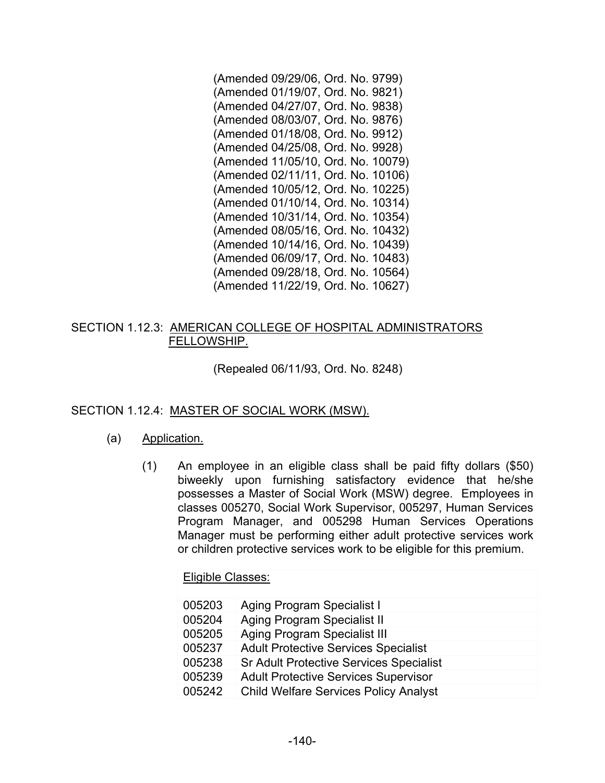(Amended 09/29/06, Ord. No. 9799) (Amended 01/19/07, Ord. No. 9821) (Amended 04/27/07, Ord. No. 9838) (Amended 08/03/07, Ord. No. 9876) (Amended 01/18/08, Ord. No. 9912) (Amended 04/25/08, Ord. No. 9928) (Amended 11/05/10, Ord. No. 10079) (Amended 02/11/11, Ord. No. 10106) (Amended 10/05/12, Ord. No. 10225) (Amended 01/10/14, Ord. No. 10314) (Amended 10/31/14, Ord. No. 10354) (Amended 08/05/16, Ord. No. 10432) (Amended 10/14/16, Ord. No. 10439) (Amended 06/09/17, Ord. No. 10483) (Amended 09/28/18, Ord. No. 10564) (Amended 11/22/19, Ord. No. 10627)

### SECTION 1.12.3: AMERICAN COLLEGE OF HOSPITAL ADMINISTRATORS FELLOWSHIP.

(Repealed 06/11/93, Ord. No. 8248)

## SECTION 1.12.4: MASTER OF SOCIAL WORK (MSW).

#### (a) Application.

(1) An employee in an eligible class shall be paid fifty dollars (\$50) biweekly upon furnishing satisfactory evidence that he/she possesses a Master of Social Work (MSW) degree. Employees in classes 005270, Social Work Supervisor, 005297, Human Services Program Manager, and 005298 Human Services Operations Manager must be performing either adult protective services work or children protective services work to be eligible for this premium.

Eligible Classes:

| 005203 | <b>Aging Program Specialist I</b>              |
|--------|------------------------------------------------|
| 005204 | <b>Aging Program Specialist II</b>             |
| 005205 | <b>Aging Program Specialist III</b>            |
| 005237 | <b>Adult Protective Services Specialist</b>    |
| 005238 | <b>Sr Adult Protective Services Specialist</b> |
| 005239 | <b>Adult Protective Services Supervisor</b>    |
| 005242 | <b>Child Welfare Services Policy Analyst</b>   |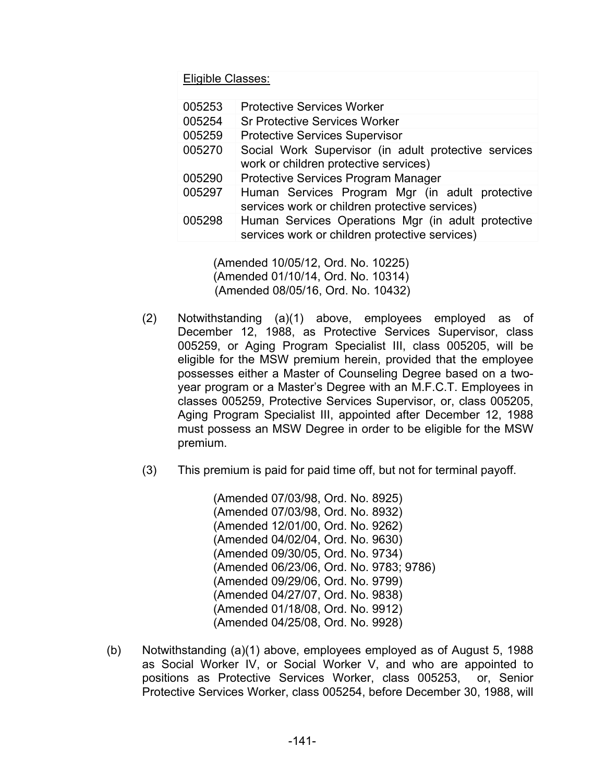Eligible Classes:

| 005253 | <b>Protective Services Worker</b>                                                                    |
|--------|------------------------------------------------------------------------------------------------------|
| 005254 | <b>Sr Protective Services Worker</b>                                                                 |
| 005259 | <b>Protective Services Supervisor</b>                                                                |
| 005270 | Social Work Supervisor (in adult protective services<br>work or children protective services)        |
| 005290 | <b>Protective Services Program Manager</b>                                                           |
| 005297 | Human Services Program Mgr (in adult protective<br>services work or children protective services)    |
| 005298 | Human Services Operations Mgr (in adult protective<br>services work or children protective services) |

 (Amended 10/05/12, Ord. No. 10225) (Amended 01/10/14, Ord. No. 10314) (Amended 08/05/16, Ord. No. 10432)

- (2) Notwithstanding (a)(1) above, employees employed as of December 12, 1988, as Protective Services Supervisor, class 005259, or Aging Program Specialist III, class 005205, will be eligible for the MSW premium herein, provided that the employee possesses either a Master of Counseling Degree based on a twoyear program or a Master's Degree with an M.F.C.T. Employees in classes 005259, Protective Services Supervisor, or, class 005205, Aging Program Specialist III, appointed after December 12, 1988 must possess an MSW Degree in order to be eligible for the MSW premium.
- (3) This premium is paid for paid time off, but not for terminal payoff.

(Amended 07/03/98, Ord. No. 8925) (Amended 07/03/98, Ord. No. 8932) (Amended 12/01/00, Ord. No. 9262) (Amended 04/02/04, Ord. No. 9630) (Amended 09/30/05, Ord. No. 9734) (Amended 06/23/06, Ord. No. 9783; 9786) (Amended 09/29/06, Ord. No. 9799) (Amended 04/27/07, Ord. No. 9838) (Amended 01/18/08, Ord. No. 9912) (Amended 04/25/08, Ord. No. 9928)

(b) Notwithstanding (a)(1) above, employees employed as of August 5, 1988 as Social Worker IV, or Social Worker V, and who are appointed to positions as Protective Services Worker, class 005253, or, Senior Protective Services Worker, class 005254, before December 30, 1988, will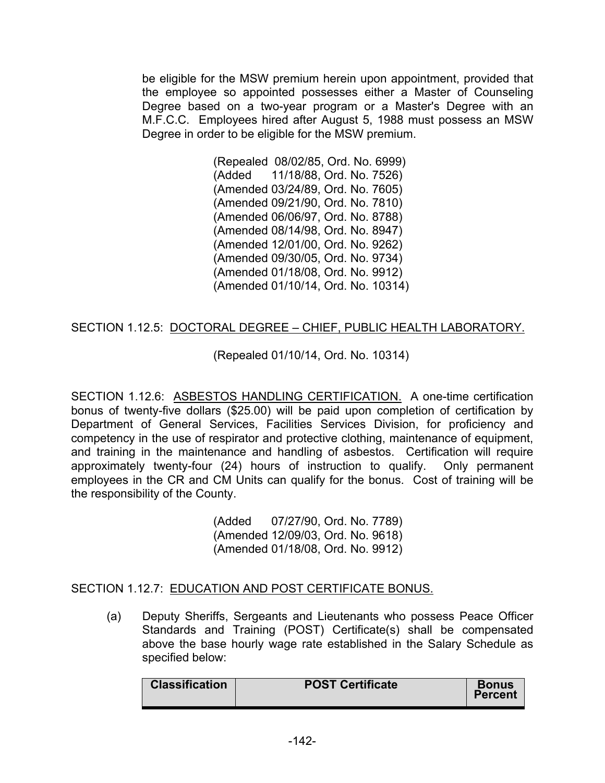be eligible for the MSW premium herein upon appointment, provided that the employee so appointed possesses either a Master of Counseling Degree based on a two-year program or a Master's Degree with an M.F.C.C. Employees hired after August 5, 1988 must possess an MSW Degree in order to be eligible for the MSW premium.

> (Repealed 08/02/85, Ord. No. 6999) (Added 11/18/88, Ord. No. 7526) (Amended 03/24/89, Ord. No. 7605) (Amended 09/21/90, Ord. No. 7810) (Amended 06/06/97, Ord. No. 8788) (Amended 08/14/98, Ord. No. 8947) (Amended 12/01/00, Ord. No. 9262) (Amended 09/30/05, Ord. No. 9734) (Amended 01/18/08, Ord. No. 9912) (Amended 01/10/14, Ord. No. 10314)

## SECTION 1.12.5: DOCTORAL DEGREE – CHIEF, PUBLIC HEALTH LABORATORY.

# (Repealed 01/10/14, Ord. No. 10314)

SECTION 1.12.6: ASBESTOS HANDLING CERTIFICATION. A one-time certification bonus of twenty-five dollars (\$25.00) will be paid upon completion of certification by Department of General Services, Facilities Services Division, for proficiency and competency in the use of respirator and protective clothing, maintenance of equipment, and training in the maintenance and handling of asbestos. Certification will require approximately twenty-four (24) hours of instruction to qualify. Only permanent employees in the CR and CM Units can qualify for the bonus. Cost of training will be the responsibility of the County.

> (Added 07/27/90, Ord. No. 7789) (Amended 12/09/03, Ord. No. 9618) (Amended 01/18/08, Ord. No. 9912)

#### SECTION 1.12.7: EDUCATION AND POST CERTIFICATE BONUS.

(a) Deputy Sheriffs, Sergeants and Lieutenants who possess Peace Officer Standards and Training (POST) Certificate(s) shall be compensated above the base hourly wage rate established in the Salary Schedule as specified below:

|  | <b>Classification</b> | <b>POST Certificate</b> | <b>Bonus</b><br><b>Percent</b> |
|--|-----------------------|-------------------------|--------------------------------|
|--|-----------------------|-------------------------|--------------------------------|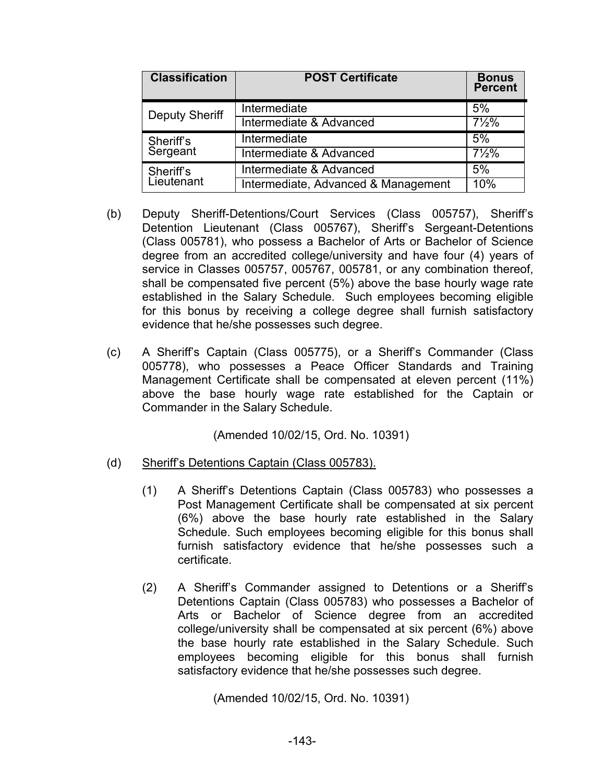| <b>Classification</b> | <b>POST Certificate</b>             | <b>Bonus</b><br><b>Percent</b> |
|-----------------------|-------------------------------------|--------------------------------|
| <b>Deputy Sheriff</b> | Intermediate                        | 5%                             |
|                       | Intermediate & Advanced             | $7\frac{1}{2}\%$               |
| Sheriff's<br>Sergeant | Intermediate                        | 5%                             |
|                       | Intermediate & Advanced             | $7\frac{1}{2}\%$               |
| Sheriff's             | Intermediate & Advanced             | 5%                             |
| Lieutenant            | Intermediate, Advanced & Management | 10%                            |

- (b) Deputy Sheriff-Detentions/Court Services (Class 005757), Sheriff's Detention Lieutenant (Class 005767), Sheriff's Sergeant-Detentions (Class 005781), who possess a Bachelor of Arts or Bachelor of Science degree from an accredited college/university and have four (4) years of service in Classes 005757, 005767, 005781, or any combination thereof, shall be compensated five percent (5%) above the base hourly wage rate established in the Salary Schedule. Such employees becoming eligible for this bonus by receiving a college degree shall furnish satisfactory evidence that he/she possesses such degree.
- (c) A Sheriff's Captain (Class 005775), or a Sheriff's Commander (Class 005778), who possesses a Peace Officer Standards and Training Management Certificate shall be compensated at eleven percent (11%) above the base hourly wage rate established for the Captain or Commander in the Salary Schedule.

(Amended 10/02/15, Ord. No. 10391)

- (d) Sheriff's Detentions Captain (Class 005783).
	- (1) A Sheriff's Detentions Captain (Class 005783) who possesses a Post Management Certificate shall be compensated at six percent (6%) above the base hourly rate established in the Salary Schedule. Such employees becoming eligible for this bonus shall furnish satisfactory evidence that he/she possesses such a certificate.
	- (2) A Sheriff's Commander assigned to Detentions or a Sheriff's Detentions Captain (Class 005783) who possesses a Bachelor of Arts or Bachelor of Science degree from an accredited college/university shall be compensated at six percent (6%) above the base hourly rate established in the Salary Schedule. Such employees becoming eligible for this bonus shall furnish satisfactory evidence that he/she possesses such degree.

(Amended 10/02/15, Ord. No. 10391)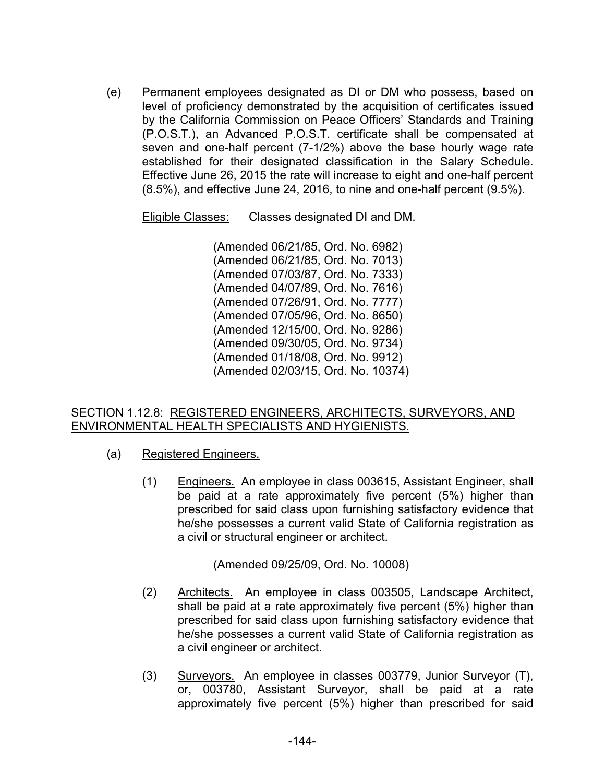(e) Permanent employees designated as DI or DM who possess, based on level of proficiency demonstrated by the acquisition of certificates issued by the California Commission on Peace Officers' Standards and Training (P.O.S.T.), an Advanced P.O.S.T. certificate shall be compensated at seven and one-half percent (7-1/2%) above the base hourly wage rate established for their designated classification in the Salary Schedule. Effective June 26, 2015 the rate will increase to eight and one-half percent (8.5%), and effective June 24, 2016, to nine and one-half percent (9.5%).

Eligible Classes: Classes designated DI and DM.

(Amended 06/21/85, Ord. No. 6982) (Amended 06/21/85, Ord. No. 7013) (Amended 07/03/87, Ord. No. 7333) (Amended 04/07/89, Ord. No. 7616) (Amended 07/26/91, Ord. No. 7777) (Amended 07/05/96, Ord. No. 8650) (Amended 12/15/00, Ord. No. 9286) (Amended 09/30/05, Ord. No. 9734) (Amended 01/18/08, Ord. No. 9912) (Amended 02/03/15, Ord. No. 10374)

### SECTION 1.12.8: REGISTERED ENGINEERS, ARCHITECTS, SURVEYORS, AND ENVIRONMENTAL HEALTH SPECIALISTS AND HYGIENISTS.

- (a) Registered Engineers.
	- (1) Engineers. An employee in class 003615, Assistant Engineer, shall be paid at a rate approximately five percent (5%) higher than prescribed for said class upon furnishing satisfactory evidence that he/she possesses a current valid State of California registration as a civil or structural engineer or architect.

(Amended 09/25/09, Ord. No. 10008)

- (2) Architects. An employee in class 003505, Landscape Architect, shall be paid at a rate approximately five percent (5%) higher than prescribed for said class upon furnishing satisfactory evidence that he/she possesses a current valid State of California registration as a civil engineer or architect.
- (3) Surveyors. An employee in classes 003779, Junior Surveyor (T), or, 003780, Assistant Surveyor, shall be paid at a rate approximately five percent (5%) higher than prescribed for said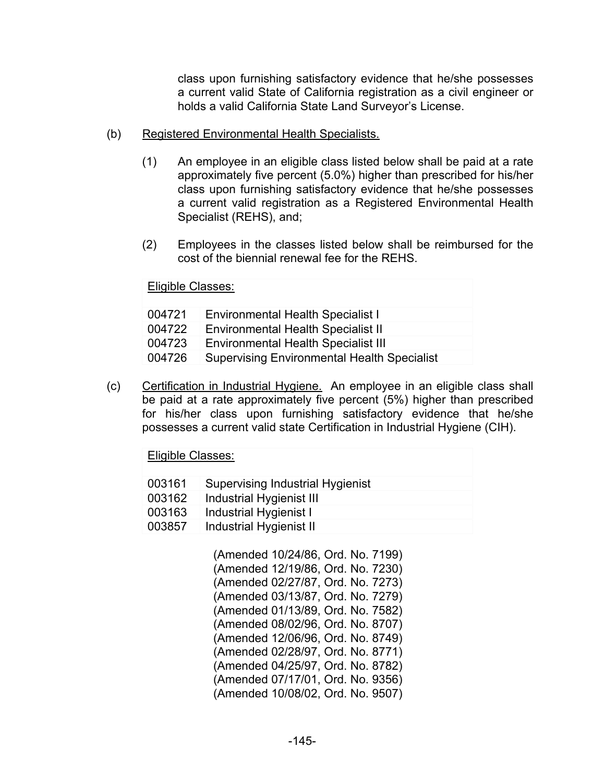class upon furnishing satisfactory evidence that he/she possesses a current valid State of California registration as a civil engineer or holds a valid California State Land Surveyor's License.

- (b) Registered Environmental Health Specialists.
	- (1) An employee in an eligible class listed below shall be paid at a rate approximately five percent (5.0%) higher than prescribed for his/her class upon furnishing satisfactory evidence that he/she possesses a current valid registration as a Registered Environmental Health Specialist (REHS), and;
	- (2) Employees in the classes listed below shall be reimbursed for the cost of the biennial renewal fee for the REHS.

Eligible Classes:

| 004721 | <b>Environmental Health Specialist I</b>           |
|--------|----------------------------------------------------|
| 004722 | <b>Environmental Health Specialist II</b>          |
| 004723 | <b>Environmental Health Specialist III</b>         |
| 004726 | <b>Supervising Environmental Health Specialist</b> |

(c) Certification in Industrial Hygiene. An employee in an eligible class shall be paid at a rate approximately five percent (5%) higher than prescribed for his/her class upon furnishing satisfactory evidence that he/she possesses a current valid state Certification in Industrial Hygiene (CIH).

Eligible Classes:

| 003161 | <b>Supervising Industrial Hygienist</b> |
|--------|-----------------------------------------|
| 003162 | Industrial Hygienist III                |
| 003163 | Industrial Hygienist I                  |
| 003857 | Industrial Hygienist II                 |

 (Amended 10/24/86, Ord. No. 7199) (Amended 12/19/86, Ord. No. 7230) (Amended 02/27/87, Ord. No. 7273) (Amended 03/13/87, Ord. No. 7279) (Amended 01/13/89, Ord. No. 7582) (Amended 08/02/96, Ord. No. 8707) (Amended 12/06/96, Ord. No. 8749) (Amended 02/28/97, Ord. No. 8771) (Amended 04/25/97, Ord. No. 8782) (Amended 07/17/01, Ord. No. 9356) (Amended 10/08/02, Ord. No. 9507)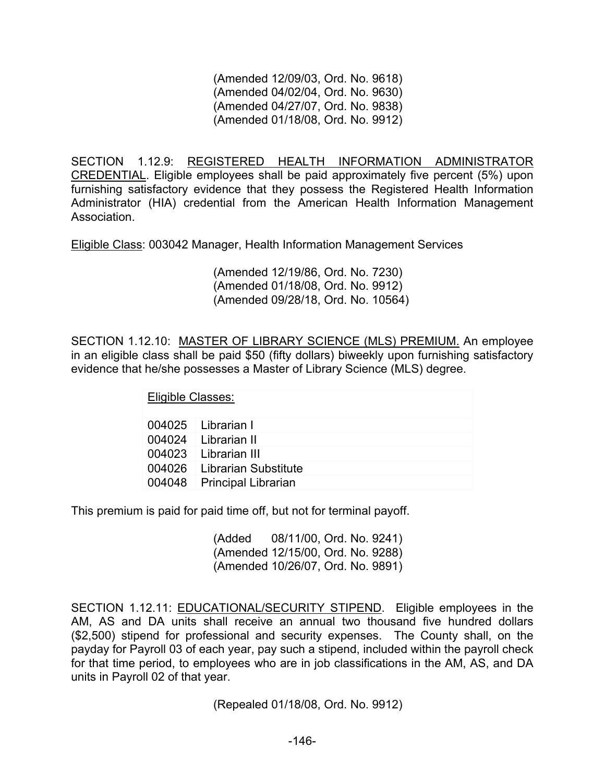(Amended 12/09/03, Ord. No. 9618) (Amended 04/02/04, Ord. No. 9630) (Amended 04/27/07, Ord. No. 9838) (Amended 01/18/08, Ord. No. 9912)

SECTION 1.12.9: REGISTERED HEALTH INFORMATION ADMINISTRATOR CREDENTIAL. Eligible employees shall be paid approximately five percent (5%) upon furnishing satisfactory evidence that they possess the Registered Health Information Administrator (HIA) credential from the American Health Information Management Association.

Eligible Class: 003042 Manager, Health Information Management Services

(Amended 12/19/86, Ord. No. 7230) (Amended 01/18/08, Ord. No. 9912) (Amended 09/28/18, Ord. No. 10564)

SECTION 1.12.10: MASTER OF LIBRARY SCIENCE (MLS) PREMIUM. An employee in an eligible class shall be paid \$50 (fifty dollars) biweekly upon furnishing satisfactory evidence that he/she possesses a Master of Library Science (MLS) degree.

Eligible Classes:

| 004025 Librarian I          |
|-----------------------------|
| 004024   Librarian II       |
| 004023 Librarian III        |
| 004026 Librarian Substitute |
| 004048 Principal Librarian  |

This premium is paid for paid time off, but not for terminal payoff.

 (Added 08/11/00, Ord. No. 9241) (Amended 12/15/00, Ord. No. 9288) (Amended 10/26/07, Ord. No. 9891)

SECTION 1.12.11: EDUCATIONAL/SECURITY STIPEND. Eligible employees in the AM, AS and DA units shall receive an annual two thousand five hundred dollars (\$2,500) stipend for professional and security expenses. The County shall, on the payday for Payroll 03 of each year, pay such a stipend, included within the payroll check for that time period, to employees who are in job classifications in the AM, AS, and DA units in Payroll 02 of that year.

(Repealed 01/18/08, Ord. No. 9912)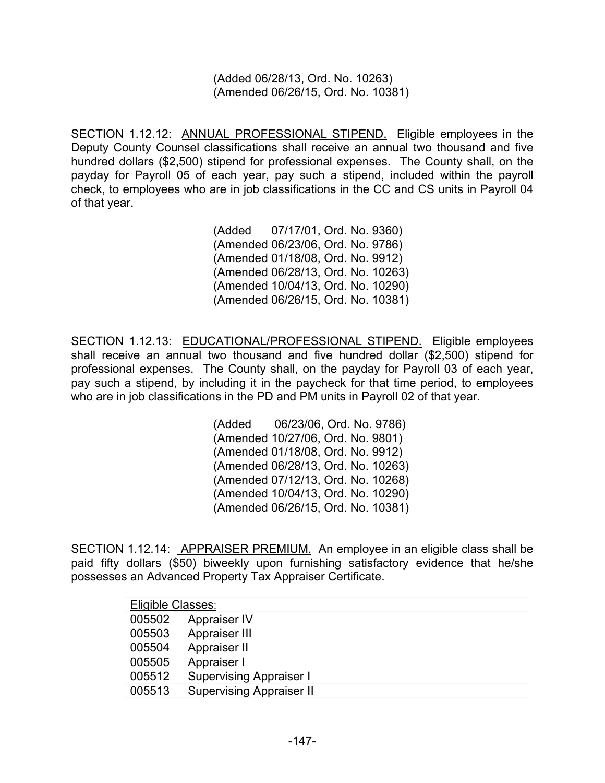(Added 06/28/13, Ord. No. 10263) (Amended 06/26/15, Ord. No. 10381)

SECTION 1.12.12: ANNUAL PROFESSIONAL STIPEND. Eligible employees in the Deputy County Counsel classifications shall receive an annual two thousand and five hundred dollars (\$2,500) stipend for professional expenses. The County shall, on the payday for Payroll 05 of each year, pay such a stipend, included within the payroll check, to employees who are in job classifications in the CC and CS units in Payroll 04 of that year.

> (Added 07/17/01, Ord. No. 9360) (Amended 06/23/06, Ord. No. 9786) (Amended 01/18/08, Ord. No. 9912) (Amended 06/28/13, Ord. No. 10263) (Amended 10/04/13, Ord. No. 10290) (Amended 06/26/15, Ord. No. 10381)

SECTION 1.12.13: EDUCATIONAL/PROFESSIONAL STIPEND. Eligible employees shall receive an annual two thousand and five hundred dollar (\$2,500) stipend for professional expenses. The County shall, on the payday for Payroll 03 of each year, pay such a stipend, by including it in the paycheck for that time period, to employees who are in job classifications in the PD and PM units in Payroll 02 of that year.

> (Added 06/23/06, Ord. No. 9786) (Amended 10/27/06, Ord. No. 9801) (Amended 01/18/08, Ord. No. 9912) (Amended 06/28/13, Ord. No. 10263) (Amended 07/12/13, Ord. No. 10268) (Amended 10/04/13, Ord. No. 10290) (Amended 06/26/15, Ord. No. 10381)

SECTION 1.12.14: APPRAISER PREMIUM. An employee in an eligible class shall be paid fifty dollars (\$50) biweekly upon furnishing satisfactory evidence that he/she possesses an Advanced Property Tax Appraiser Certificate.

| Eligible Classes: |                                 |  |
|-------------------|---------------------------------|--|
| 005502            | Appraiser IV                    |  |
| 005503            | Appraiser III                   |  |
| 005504            | Appraiser II                    |  |
| 005505            | Appraiser I                     |  |
| 005512            | <b>Supervising Appraiser I</b>  |  |
| 005513            | <b>Supervising Appraiser II</b> |  |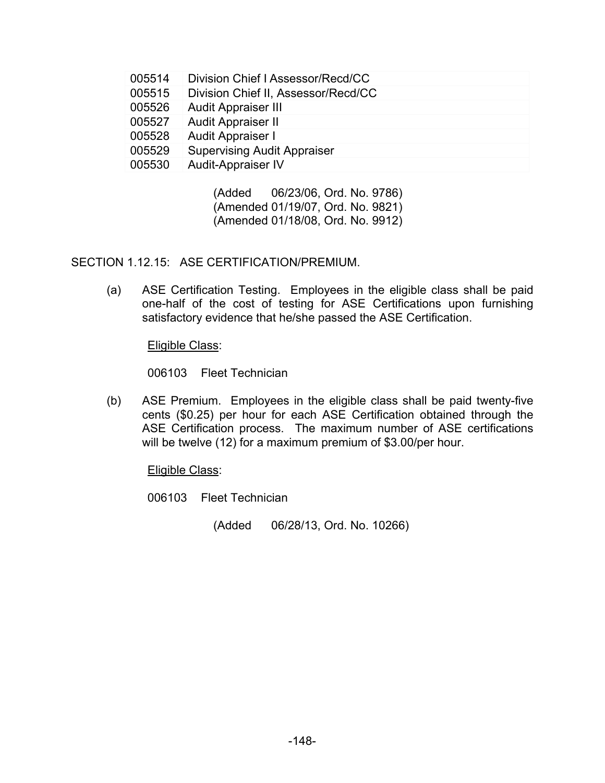| 005514 | Division Chief   Assessor/Recd/CC   |
|--------|-------------------------------------|
| 005515 | Division Chief II, Assessor/Recd/CC |
| 005526 | <b>Audit Appraiser III</b>          |
| 005527 | <b>Audit Appraiser II</b>           |
| 005528 | Audit Appraiser I                   |
| 005529 | <b>Supervising Audit Appraiser</b>  |
| 005530 | <b>Audit-Appraiser IV</b>           |
|        |                                     |

 (Added 06/23/06, Ord. No. 9786) (Amended 01/19/07, Ord. No. 9821) (Amended 01/18/08, Ord. No. 9912)

SECTION 1.12.15: ASE CERTIFICATION/PREMIUM.

(a) ASE Certification Testing. Employees in the eligible class shall be paid one-half of the cost of testing for ASE Certifications upon furnishing satisfactory evidence that he/she passed the ASE Certification.

Eligible Class:

006103 Fleet Technician

(b) ASE Premium. Employees in the eligible class shall be paid twenty-five cents (\$0.25) per hour for each ASE Certification obtained through the ASE Certification process. The maximum number of ASE certifications will be twelve (12) for a maximum premium of \$3.00/per hour.

Eligible Class:

006103 Fleet Technician

(Added 06/28/13, Ord. No. 10266)